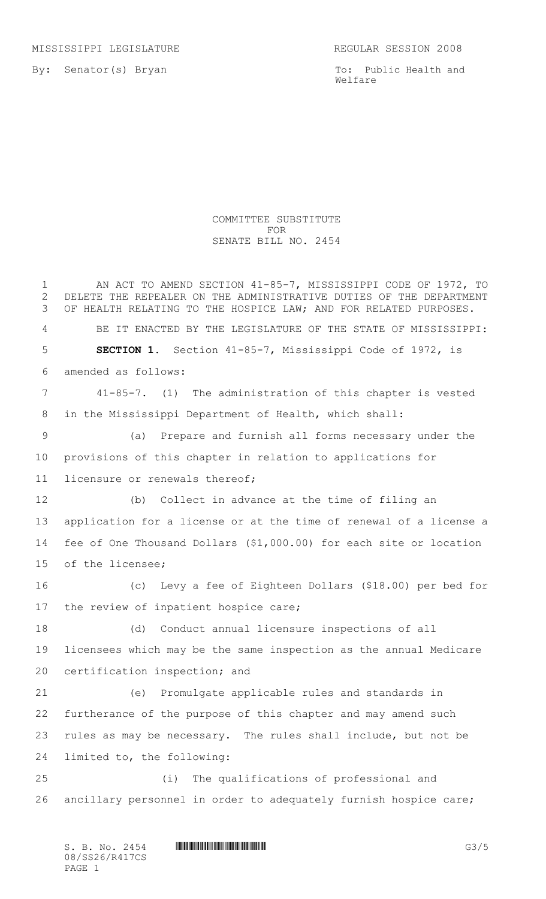MISSISSIPPI LEGISLATURE REGULAR SESSION 2008

By: Senator(s) Bryan

To: Public Health and Welfare

## COMMITTEE SUBSTITUTE FOR SENATE BILL NO. 2454

1 AN ACT TO AMEND SECTION 41-85-7, MISSISSIPPI CODE OF 1972, TO DELETE THE REPEALER ON THE ADMINISTRATIVE DUTIES OF THE DEPARTMENT OF HEALTH RELATING TO THE HOSPICE LAW; AND FOR RELATED PURPOSES. BE IT ENACTED BY THE LEGISLATURE OF THE STATE OF MISSISSIPPI: **SECTION 1.** Section 41-85-7, Mississippi Code of 1972, is amended as follows: 41-85-7. (1) The administration of this chapter is vested in the Mississippi Department of Health, which shall: (a) Prepare and furnish all forms necessary under the provisions of this chapter in relation to applications for licensure or renewals thereof; (b) Collect in advance at the time of filing an application for a license or at the time of renewal of a license a fee of One Thousand Dollars (\$1,000.00) for each site or location of the licensee; (c) Levy a fee of Eighteen Dollars (\$18.00) per bed for 17 the review of inpatient hospice care; (d) Conduct annual licensure inspections of all licensees which may be the same inspection as the annual Medicare certification inspection; and (e) Promulgate applicable rules and standards in furtherance of the purpose of this chapter and may amend such rules as may be necessary. The rules shall include, but not be limited to, the following: (i) The qualifications of professional and ancillary personnel in order to adequately furnish hospice care;